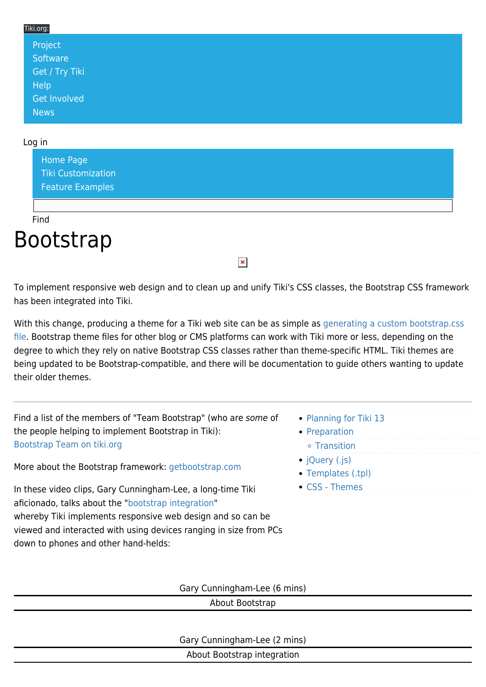#### Tiki.org: [Project](https://tiki.org/Project Introduction) **[Software](https://tiki.org/Software Overview and Model)** [Get / Try Tiki](https://tiki.org/Get Tiki - Try Tiki) **[Help](https://tiki.org/Get Help)** [Get Involved](https://tiki.org/Get Involved) **[News](https://tiki.org/News)**

#### Log in

[Home Page](https://themes.tiki.org/Themes) [Tiki Customization](https://themes.tiki.org/Tiki-Customization) [Feature Examples](#page--1-0)

Find

# Bootstrap

To implement responsive web design and to clean up and unify Tiki's CSS classes, the Bootstrap CSS framework has been integrated into Tiki.

 $\pmb{\times}$ 

With this change, producing a theme for a Tiki web site can be as simple as [generating a custom bootstrap.css](http://getbootstrap.com/customize) [file](http://getbootstrap.com/customize). Bootstrap theme files for other blog or CMS platforms can work with Tiki more or less, depending on the degree to which they rely on native Bootstrap CSS classes rather than theme-specific HTML. Tiki themes are being updated to be Bootstrap-compatible, and there will be documentation to guide others wanting to update their older themes.

Find a list of the members of "Team Bootstrap" (who are some of the people helping to implement Bootstrap in Tiki): [Bootstrap Team on tiki.org](https://tiki.org/Bootstrap+Team)

More about the Bootstrap framework: [getbootstrap.com](http://getbootstrap.com/)

In these video clips, Gary Cunningham-Lee, a long-time Tiki aficionado, talks about the "[bootstrap integration](https://themes.tiki.org/Bootstrap)" whereby Tiki implements responsive web design and so can be viewed and interacted with using devices ranging in size from PCs down to phones and other hand-helds:

- [Planning for Tiki 13](https://themes.tiki.org/Planning-for-Tiki-13?structure=Bootstrap&page_ref_id=12)
- [Preparation](https://themes.tiki.org/Bootstrap-Transition-Preps?structure=Bootstrap&page_ref_id=14)
- [Transition](https://themes.tiki.org/Bootstrap-Themes-Transition?structure=Bootstrap&page_ref_id=13)
- [jQuery \(.js\)](https://themes.tiki.org/Bootstrap-JavaScript-JQuery?structure=Bootstrap&page_ref_id=17)
- [Templates \(.tpl\)](https://themes.tiki.org/Bootstrap---Smarty-Templates?structure=Bootstrap&page_ref_id=15)
- [CSS Themes](https://themes.tiki.org/Pre-Tiki-13-CSS-transition-to-the-Bootstrap-Framework?structure=Bootstrap&page_ref_id=16)

Gary Cunningham-Lee (6 mins)

About Bootstrap

Gary Cunningham-Lee (2 mins)

About Bootstrap integration